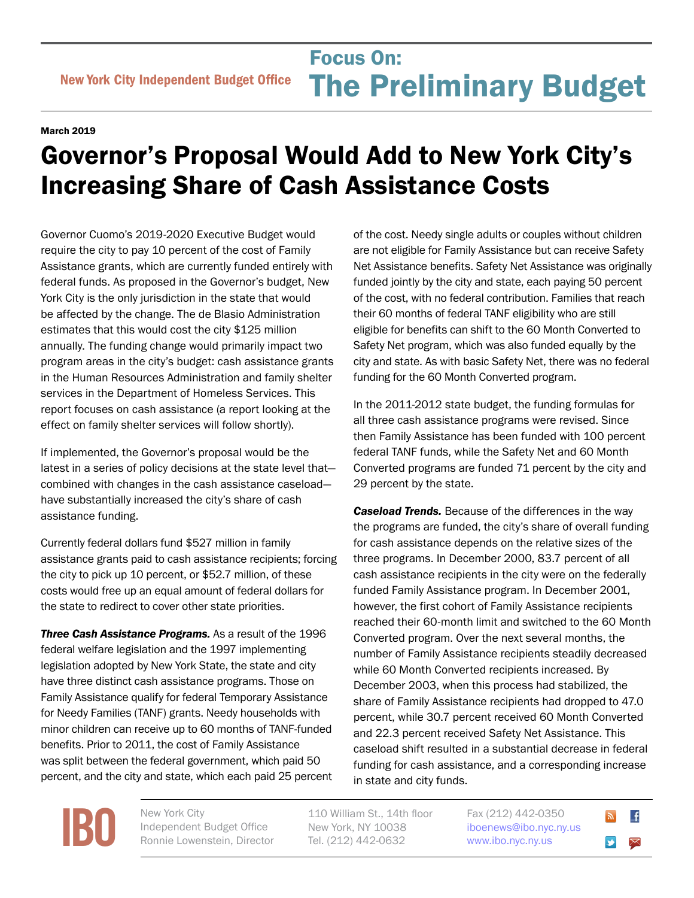## Focus On:<br>
New York City Independent Budget Office **The Preliminary Bu** Focus On: The Preliminary Budget

## March 2019

## Governor's Proposal Would Add to New York City's Increasing Share of Cash Assistance Costs

Governor Cuomo's 2019-2020 Executive Budget would require the city to pay 10 percent of the cost of Family Assistance grants, which are currently funded entirely with federal funds. As proposed in the Governor's budget, New York City is the only jurisdiction in the state that would be affected by the change. The de Blasio Administration estimates that this would cost the city \$125 million annually. The funding change would primarily impact two program areas in the city's budget: cash assistance grants in the Human Resources Administration and family shelter services in the Department of Homeless Services. This report focuses on cash assistance (a report looking at the effect on family shelter services will follow shortly).

If implemented, the Governor's proposal would be the latest in a series of policy decisions at the state level that combined with changes in the cash assistance caseload have substantially increased the city's share of cash assistance funding.

Currently federal dollars fund \$527 million in family assistance grants paid to cash assistance recipients; forcing the city to pick up 10 percent, or \$52.7 million, of these costs would free up an equal amount of federal dollars for the state to redirect to cover other state priorities.

*Three Cash Assistance Programs.* As a result of the 1996 federal welfare legislation and the 1997 implementing legislation adopted by New York State, the state and city have three distinct cash assistance programs. Those on Family Assistance qualify for federal Temporary Assistance for Needy Families (TANF) grants. Needy households with minor children can receive up to 60 months of TANF-funded benefits. Prior to 2011, the cost of Family Assistance was split between the federal government, which paid 50 percent, and the city and state, which each paid 25 percent

of the cost. Needy single adults or couples without children are not eligible for Family Assistance but can receive Safety Net Assistance benefits. Safety Net Assistance was originally funded jointly by the city and state, each paying 50 percent of the cost, with no federal contribution. Families that reach their 60 months of federal TANF eligibility who are still eligible for benefits can shift to the 60 Month Converted to Safety Net program, which was also funded equally by the city and state. As with basic Safety Net, there was no federal funding for the 60 Month Converted program.

In the 2011-2012 state budget, the funding formulas for all three cash assistance programs were revised. Since then Family Assistance has been funded with 100 percent federal TANF funds, while the Safety Net and 60 Month Converted programs are funded 71 percent by the city and 29 percent by the state.

*Caseload Trends.* Because of the differences in the way the programs are funded, the city's share of overall funding for cash assistance depends on the relative sizes of the three programs. In December 2000, 83.7 percent of all cash assistance recipients in the city were on the federally funded Family Assistance program. In December 2001, however, the first cohort of Family Assistance recipients reached their 60-month limit and switched to the 60 Month Converted program. Over the next several months, the number of Family Assistance recipients steadily decreased while 60 Month Converted recipients increased. By December 2003, when this process had stabilized, the share of Family Assistance recipients had dropped to 47.0 percent, while 30.7 percent received 60 Month Converted and 22.3 percent received Safety Net Assistance. This caseload shift resulted in a substantial decrease in federal funding for cash assistance, and a corresponding increase in state and city funds.

**[IBO](http://www.ibo.nyc.ny.us)** New York City<br>
Independent<br>
Ronnie Lower Independent Budget Office Ronnie Lowenstein, Director

110 William St., 14th floor New York, NY 10038 Tel. (212) 442-0632

Fax (212) 442-0350 [iboenews@ibo.nyc.ny.us](mailto:iboenews%40ibo.nyc.ny.us?subject=)  <www.ibo.nyc.ny.us>

 $\overline{f}$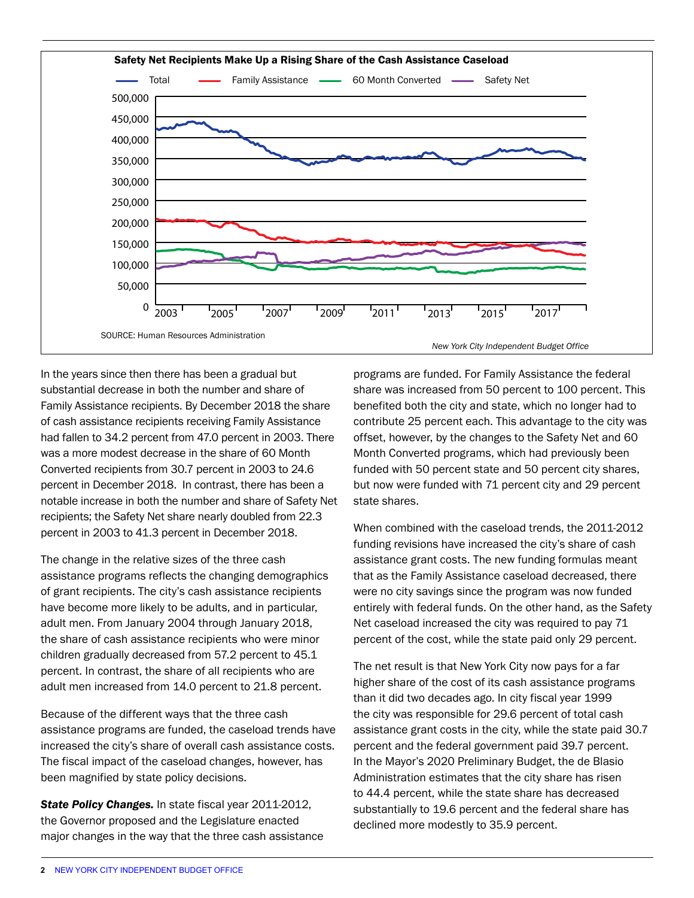

In the years since then there has been a gradual but substantial decrease in both the number and share of Family Assistance recipients. By December 2018 the share of cash assistance recipients receiving Family Assistance had fallen to 34.2 percent from 47.0 percent in 2003. There was a more modest decrease in the share of 60 Month Converted recipients from 30.7 percent in 2003 to 24.6 percent in December 2018. In contrast, there has been a notable increase in both the number and share of Safety Net recipients; the Safety Net share nearly doubled from 22.3 percent in 2003 to 41.3 percent in December 2018.

The change in the relative sizes of the three cash assistance programs reflects the changing demographics of grant recipients. The city's cash assistance recipients have become more likely to be adults, and in particular, adult men. From January 2004 through January 2018, the share of cash assistance recipients who were minor children gradually decreased from 57.2 percent to 45.1 percent. In contrast, the share of all recipients who are adult men increased from 14.0 percent to 21.8 percent.

Because of the different ways that the three cash assistance programs are funded, the caseload trends have increased the city's share of overall cash assistance costs. The fiscal impact of the caseload changes, however, has been magnified by state policy decisions.

*State Policy Changes.* In state fiscal year 2011-2012, the Governor proposed and the Legislature enacted major changes in the way that the three cash assistance

programs are funded. For Family Assistance the federal share was increased from 50 percent to 100 percent. This benefited both the city and state, which no longer had to contribute 25 percent each. This advantage to the city was offset, however, by the changes to the Safety Net and 60 Month Converted programs, which had previously been funded with 50 percent state and 50 percent city shares, but now were funded with 71 percent city and 29 percent state shares.

When combined with the caseload trends, the 2011-2012 funding revisions have increased the city's share of cash assistance grant costs. The new funding formulas meant that as the Family Assistance caseload decreased, there were no city savings since the program was now funded entirely with federal funds. On the other hand, as the Safety Net caseload increased the city was required to pay 71 percent of the cost, while the state paid only 29 percent.

The net result is that New York City now pays for a far higher share of the cost of its cash assistance programs than it did two decades ago. In city fiscal year 1999 the city was responsible for 29.6 percent of total cash assistance grant costs in the city, while the state paid 30.7 percent and the federal government paid 39.7 percent. In the Mayor's 2020 Preliminary Budget, the de Blasio Administration estimates that the city share has risen to 44.4 percent, while the state share has decreased substantially to 19.6 percent and the federal share has declined more modestly to 35.9 percent.